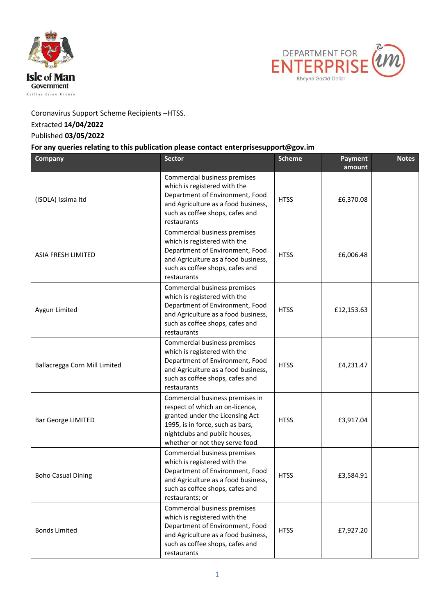



Coronavirus Support Scheme Recipients –HTSS.

## Extracted **14/04/2022**

## Published **03/05/2022**

## **For any queries relating to this publication please contact enterprisesupport@gov.im**

| Company                       | <b>Sector</b>                                                                                                                                                                                                | <b>Scheme</b> | <b>Payment</b><br>amount | <b>Notes</b> |
|-------------------------------|--------------------------------------------------------------------------------------------------------------------------------------------------------------------------------------------------------------|---------------|--------------------------|--------------|
| (ISOLA) Issima Itd            | Commercial business premises<br>which is registered with the<br>Department of Environment, Food<br>and Agriculture as a food business,<br>such as coffee shops, cafes and<br>restaurants                     | <b>HTSS</b>   | £6,370.08                |              |
| <b>ASIA FRESH LIMITED</b>     | Commercial business premises<br>which is registered with the<br>Department of Environment, Food<br>and Agriculture as a food business,<br>such as coffee shops, cafes and<br>restaurants                     | <b>HTSS</b>   | £6,006.48                |              |
| Aygun Limited                 | Commercial business premises<br>which is registered with the<br>Department of Environment, Food<br>and Agriculture as a food business,<br>such as coffee shops, cafes and<br>restaurants                     | <b>HTSS</b>   | £12,153.63               |              |
| Ballacregga Corn Mill Limited | Commercial business premises<br>which is registered with the<br>Department of Environment, Food<br>and Agriculture as a food business,<br>such as coffee shops, cafes and<br>restaurants                     | <b>HTSS</b>   | £4,231.47                |              |
| Bar George LIMITED            | Commercial business premises in<br>respect of which an on-licence,<br>granted under the Licensing Act<br>1995, is in force, such as bars,<br>nightclubs and public houses,<br>whether or not they serve food | <b>HTSS</b>   | £3,917.04                |              |
| <b>Boho Casual Dining</b>     | Commercial business premises<br>which is registered with the<br>Department of Environment, Food<br>and Agriculture as a food business,<br>such as coffee shops, cafes and<br>restaurants; or                 | <b>HTSS</b>   | £3,584.91                |              |
| <b>Bonds Limited</b>          | Commercial business premises<br>which is registered with the<br>Department of Environment, Food<br>and Agriculture as a food business,<br>such as coffee shops, cafes and<br>restaurants                     | <b>HTSS</b>   | £7,927.20                |              |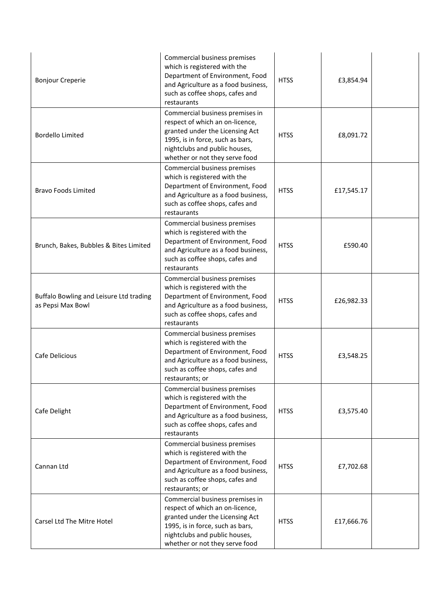| <b>Bonjour Creperie</b>                                      | Commercial business premises<br>which is registered with the<br>Department of Environment, Food<br>and Agriculture as a food business,<br>such as coffee shops, cafes and<br>restaurants                     | <b>HTSS</b> | £3,854.94  |  |
|--------------------------------------------------------------|--------------------------------------------------------------------------------------------------------------------------------------------------------------------------------------------------------------|-------------|------------|--|
| <b>Bordello Limited</b>                                      | Commercial business premises in<br>respect of which an on-licence,<br>granted under the Licensing Act<br>1995, is in force, such as bars,<br>nightclubs and public houses,<br>whether or not they serve food | <b>HTSS</b> | £8,091.72  |  |
| <b>Bravo Foods Limited</b>                                   | Commercial business premises<br>which is registered with the<br>Department of Environment, Food<br>and Agriculture as a food business,<br>such as coffee shops, cafes and<br>restaurants                     | <b>HTSS</b> | £17,545.17 |  |
| Brunch, Bakes, Bubbles & Bites Limited                       | Commercial business premises<br>which is registered with the<br>Department of Environment, Food<br>and Agriculture as a food business,<br>such as coffee shops, cafes and<br>restaurants                     | <b>HTSS</b> | £590.40    |  |
| Buffalo Bowling and Leisure Ltd trading<br>as Pepsi Max Bowl | Commercial business premises<br>which is registered with the<br>Department of Environment, Food<br>and Agriculture as a food business,<br>such as coffee shops, cafes and<br>restaurants                     | <b>HTSS</b> | £26,982.33 |  |
| Cafe Delicious                                               | Commercial business premises<br>which is registered with the<br>Department of Environment, Food<br>and Agriculture as a food business,<br>such as coffee shops, cafes and<br>restaurants; or                 | <b>HTSS</b> | £3,548.25  |  |
| Cafe Delight                                                 | Commercial business premises<br>which is registered with the<br>Department of Environment, Food<br>and Agriculture as a food business,<br>such as coffee shops, cafes and<br>restaurants                     | <b>HTSS</b> | £3,575.40  |  |
| Cannan Ltd                                                   | Commercial business premises<br>which is registered with the<br>Department of Environment, Food<br>and Agriculture as a food business,<br>such as coffee shops, cafes and<br>restaurants; or                 | <b>HTSS</b> | £7,702.68  |  |
| Carsel Ltd The Mitre Hotel                                   | Commercial business premises in<br>respect of which an on-licence,<br>granted under the Licensing Act<br>1995, is in force, such as bars,<br>nightclubs and public houses,<br>whether or not they serve food | <b>HTSS</b> | £17,666.76 |  |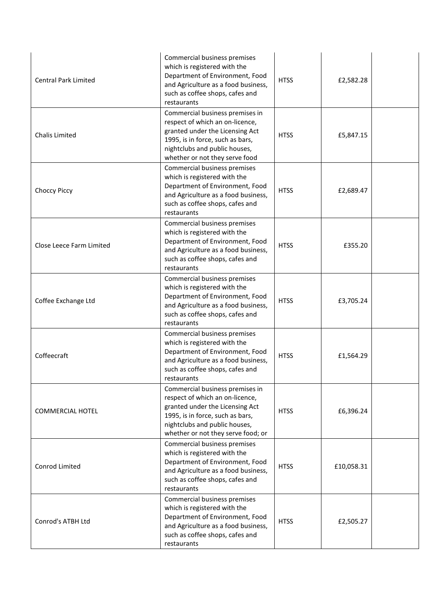| <b>Central Park Limited</b> | Commercial business premises<br>which is registered with the<br>Department of Environment, Food<br>and Agriculture as a food business,<br>such as coffee shops, cafes and<br>restaurants                         | <b>HTSS</b> | £2,582.28  |  |
|-----------------------------|------------------------------------------------------------------------------------------------------------------------------------------------------------------------------------------------------------------|-------------|------------|--|
| Chalis Limited              | Commercial business premises in<br>respect of which an on-licence,<br>granted under the Licensing Act<br>1995, is in force, such as bars,<br>nightclubs and public houses,<br>whether or not they serve food     | <b>HTSS</b> | £5,847.15  |  |
| Choccy Piccy                | Commercial business premises<br>which is registered with the<br>Department of Environment, Food<br>and Agriculture as a food business,<br>such as coffee shops, cafes and<br>restaurants                         | <b>HTSS</b> | £2,689.47  |  |
| Close Leece Farm Limited    | Commercial business premises<br>which is registered with the<br>Department of Environment, Food<br>and Agriculture as a food business,<br>such as coffee shops, cafes and<br>restaurants                         | <b>HTSS</b> | £355.20    |  |
| Coffee Exchange Ltd         | Commercial business premises<br>which is registered with the<br>Department of Environment, Food<br>and Agriculture as a food business,<br>such as coffee shops, cafes and<br>restaurants                         | <b>HTSS</b> | £3,705.24  |  |
| Coffeecraft                 | Commercial business premises<br>which is registered with the<br>Department of Environment, Food<br>and Agriculture as a food business,<br>such as coffee shops, cafes and<br>restaurants                         | <b>HTSS</b> | £1,564.29  |  |
| <b>COMMERCIAL HOTEL</b>     | Commercial business premises in<br>respect of which an on-licence,<br>granted under the Licensing Act<br>1995, is in force, such as bars,<br>nightclubs and public houses,<br>whether or not they serve food; or | <b>HTSS</b> | £6,396.24  |  |
| Conrod Limited              | Commercial business premises<br>which is registered with the<br>Department of Environment, Food<br>and Agriculture as a food business,<br>such as coffee shops, cafes and<br>restaurants                         | <b>HTSS</b> | £10,058.31 |  |
| Conrod's ATBH Ltd           | Commercial business premises<br>which is registered with the<br>Department of Environment, Food<br>and Agriculture as a food business,<br>such as coffee shops, cafes and<br>restaurants                         | <b>HTSS</b> | £2,505.27  |  |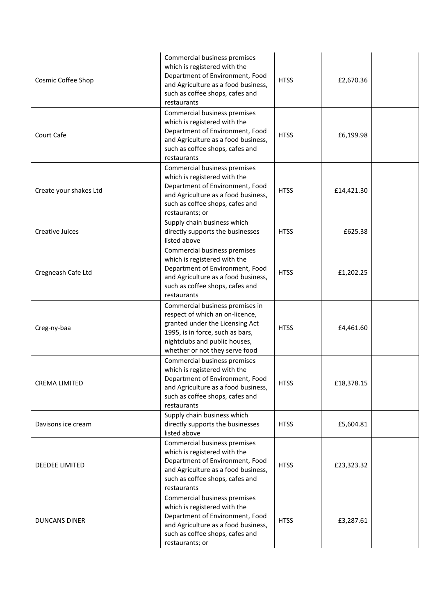| Cosmic Coffee Shop     | Commercial business premises<br>which is registered with the<br>Department of Environment, Food<br>and Agriculture as a food business,<br>such as coffee shops, cafes and<br>restaurants                     | <b>HTSS</b> | £2,670.36  |  |
|------------------------|--------------------------------------------------------------------------------------------------------------------------------------------------------------------------------------------------------------|-------------|------------|--|
| Court Cafe             | Commercial business premises<br>which is registered with the<br>Department of Environment, Food<br>and Agriculture as a food business,<br>such as coffee shops, cafes and<br>restaurants                     | <b>HTSS</b> | £6,199.98  |  |
| Create your shakes Ltd | Commercial business premises<br>which is registered with the<br>Department of Environment, Food<br>and Agriculture as a food business,<br>such as coffee shops, cafes and<br>restaurants; or                 | <b>HTSS</b> | £14,421.30 |  |
| Creative Juices        | Supply chain business which<br>directly supports the businesses<br>listed above                                                                                                                              | <b>HTSS</b> | £625.38    |  |
| Cregneash Cafe Ltd     | Commercial business premises<br>which is registered with the<br>Department of Environment, Food<br>and Agriculture as a food business,<br>such as coffee shops, cafes and<br>restaurants                     | <b>HTSS</b> | £1,202.25  |  |
| Creg-ny-baa            | Commercial business premises in<br>respect of which an on-licence,<br>granted under the Licensing Act<br>1995, is in force, such as bars,<br>nightclubs and public houses,<br>whether or not they serve food | <b>HTSS</b> | £4,461.60  |  |
| <b>CREMA LIMITED</b>   | Commercial business premises<br>which is registered with the<br>Department of Environment, Food<br>and Agriculture as a food business,<br>such as coffee shops, cafes and<br>restaurants                     | <b>HTSS</b> | £18,378.15 |  |
| Davisons ice cream     | Supply chain business which<br>directly supports the businesses<br>listed above                                                                                                                              | <b>HTSS</b> | £5,604.81  |  |
| DEEDEE LIMITED         | Commercial business premises<br>which is registered with the<br>Department of Environment, Food<br>and Agriculture as a food business,<br>such as coffee shops, cafes and<br>restaurants                     | <b>HTSS</b> | £23,323.32 |  |
| <b>DUNCANS DINER</b>   | Commercial business premises<br>which is registered with the<br>Department of Environment, Food<br>and Agriculture as a food business,<br>such as coffee shops, cafes and<br>restaurants; or                 | <b>HTSS</b> | £3,287.61  |  |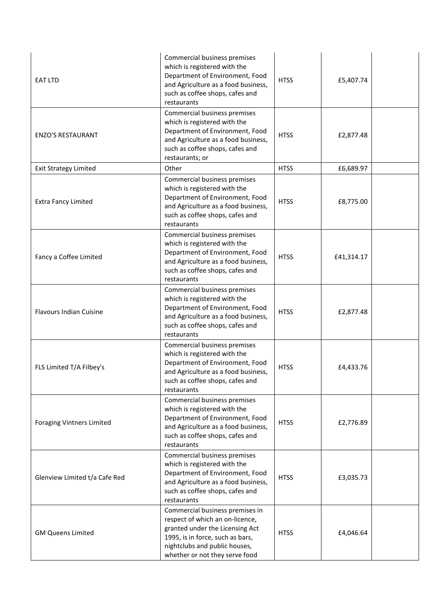| EAT LTD                          | Commercial business premises<br>which is registered with the<br>Department of Environment, Food<br>and Agriculture as a food business,<br>such as coffee shops, cafes and<br>restaurants                     | <b>HTSS</b> | £5,407.74  |  |
|----------------------------------|--------------------------------------------------------------------------------------------------------------------------------------------------------------------------------------------------------------|-------------|------------|--|
| <b>ENZO'S RESTAURANT</b>         | Commercial business premises<br>which is registered with the<br>Department of Environment, Food<br>and Agriculture as a food business,<br>such as coffee shops, cafes and<br>restaurants; or                 | <b>HTSS</b> | £2,877.48  |  |
| <b>Exit Strategy Limited</b>     | Other                                                                                                                                                                                                        | <b>HTSS</b> | £6,689.97  |  |
| <b>Extra Fancy Limited</b>       | Commercial business premises<br>which is registered with the<br>Department of Environment, Food<br>and Agriculture as a food business,<br>such as coffee shops, cafes and<br>restaurants                     | <b>HTSS</b> | £8,775.00  |  |
| Fancy a Coffee Limited           | Commercial business premises<br>which is registered with the<br>Department of Environment, Food<br>and Agriculture as a food business,<br>such as coffee shops, cafes and<br>restaurants                     | <b>HTSS</b> | £41,314.17 |  |
| <b>Flavours Indian Cuisine</b>   | Commercial business premises<br>which is registered with the<br>Department of Environment, Food<br>and Agriculture as a food business,<br>such as coffee shops, cafes and<br>restaurants                     | <b>HTSS</b> | £2,877.48  |  |
| FLS Limited T/A Filbey's         | Commercial business premises<br>which is registered with the<br>Department of Environment, Food<br>and Agriculture as a food business,<br>such as coffee shops, cafes and<br>restaurants                     | <b>HTSS</b> | £4,433.76  |  |
| <b>Foraging Vintners Limited</b> | Commercial business premises<br>which is registered with the<br>Department of Environment, Food<br>and Agriculture as a food business,<br>such as coffee shops, cafes and<br>restaurants                     | <b>HTSS</b> | £2,776.89  |  |
| Glenview Limited t/a Cafe Red    | Commercial business premises<br>which is registered with the<br>Department of Environment, Food<br>and Agriculture as a food business,<br>such as coffee shops, cafes and<br>restaurants                     | <b>HTSS</b> | £3,035.73  |  |
| <b>GM Queens Limited</b>         | Commercial business premises in<br>respect of which an on-licence,<br>granted under the Licensing Act<br>1995, is in force, such as bars,<br>nightclubs and public houses,<br>whether or not they serve food | <b>HTSS</b> | £4,046.64  |  |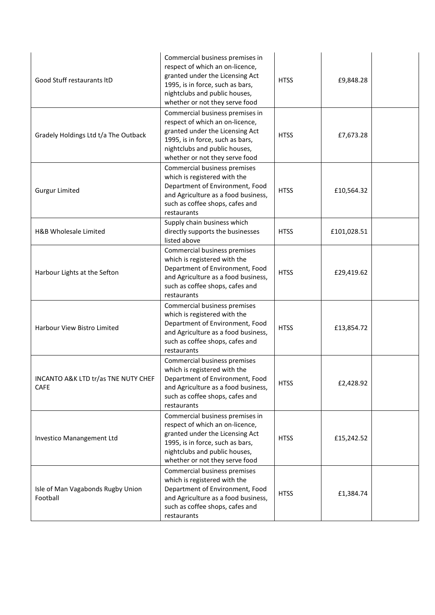| Good Stuff restaurants ItD                    | Commercial business premises in<br>respect of which an on-licence,<br>granted under the Licensing Act<br>1995, is in force, such as bars,<br>nightclubs and public houses,<br>whether or not they serve food | <b>HTSS</b> | £9,848.28   |  |
|-----------------------------------------------|--------------------------------------------------------------------------------------------------------------------------------------------------------------------------------------------------------------|-------------|-------------|--|
| Gradely Holdings Ltd t/a The Outback          | Commercial business premises in<br>respect of which an on-licence,<br>granted under the Licensing Act<br>1995, is in force, such as bars,<br>nightclubs and public houses,<br>whether or not they serve food | <b>HTSS</b> | £7,673.28   |  |
| <b>Gurgur Limited</b>                         | Commercial business premises<br>which is registered with the<br>Department of Environment, Food<br>and Agriculture as a food business,<br>such as coffee shops, cafes and<br>restaurants                     | <b>HTSS</b> | £10,564.32  |  |
| H&B Wholesale Limited                         | Supply chain business which<br>directly supports the businesses<br>listed above                                                                                                                              | <b>HTSS</b> | £101,028.51 |  |
| Harbour Lights at the Sefton                  | Commercial business premises<br>which is registered with the<br>Department of Environment, Food<br>and Agriculture as a food business,<br>such as coffee shops, cafes and<br>restaurants                     | <b>HTSS</b> | £29,419.62  |  |
| Harbour View Bistro Limited                   | Commercial business premises<br>which is registered with the<br>Department of Environment, Food<br>and Agriculture as a food business,<br>such as coffee shops, cafes and<br>restaurants                     | <b>HTSS</b> | £13,854.72  |  |
| INCANTO A&K LTD tr/as TNE NUTY CHEF<br>CAFE   | Commercial business premises<br>which is registered with the<br>Department of Environment, Food<br>and Agriculture as a food business,<br>such as coffee shops, cafes and<br>restaurants                     | <b>HTSS</b> | £2,428.92   |  |
| Investico Manangement Ltd                     | Commercial business premises in<br>respect of which an on-licence,<br>granted under the Licensing Act<br>1995, is in force, such as bars,<br>nightclubs and public houses,<br>whether or not they serve food | <b>HTSS</b> | £15,242.52  |  |
| Isle of Man Vagabonds Rugby Union<br>Football | Commercial business premises<br>which is registered with the<br>Department of Environment, Food<br>and Agriculture as a food business,<br>such as coffee shops, cafes and<br>restaurants                     | <b>HTSS</b> | £1,384.74   |  |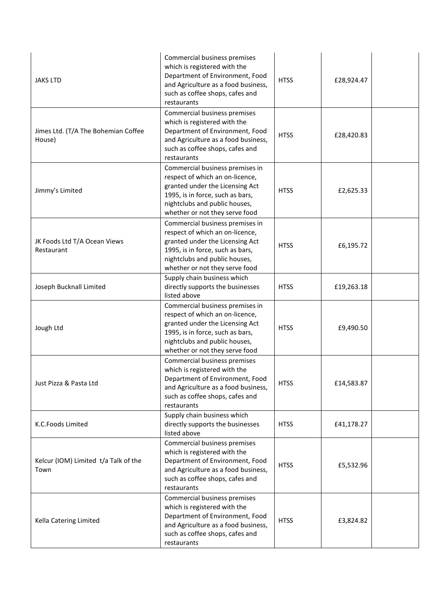| <b>JAKS LTD</b>                               | Commercial business premises<br>which is registered with the<br>Department of Environment, Food<br>and Agriculture as a food business,<br>such as coffee shops, cafes and<br>restaurants                     | <b>HTSS</b> | £28,924.47 |  |
|-----------------------------------------------|--------------------------------------------------------------------------------------------------------------------------------------------------------------------------------------------------------------|-------------|------------|--|
| Jimes Ltd. (T/A The Bohemian Coffee<br>House) | Commercial business premises<br>which is registered with the<br>Department of Environment, Food<br>and Agriculture as a food business,<br>such as coffee shops, cafes and<br>restaurants                     | <b>HTSS</b> | £28,420.83 |  |
| Jimmy's Limited                               | Commercial business premises in<br>respect of which an on-licence,<br>granted under the Licensing Act<br>1995, is in force, such as bars,<br>nightclubs and public houses,<br>whether or not they serve food | <b>HTSS</b> | £2,625.33  |  |
| JK Foods Ltd T/A Ocean Views<br>Restaurant    | Commercial business premises in<br>respect of which an on-licence,<br>granted under the Licensing Act<br>1995, is in force, such as bars,<br>nightclubs and public houses,<br>whether or not they serve food | <b>HTSS</b> | £6,195.72  |  |
| Joseph Bucknall Limited                       | Supply chain business which<br>directly supports the businesses<br>listed above                                                                                                                              | <b>HTSS</b> | £19,263.18 |  |
| Jough Ltd                                     | Commercial business premises in<br>respect of which an on-licence,<br>granted under the Licensing Act<br>1995, is in force, such as bars,<br>nightclubs and public houses,<br>whether or not they serve food | <b>HTSS</b> | £9,490.50  |  |
| Just Pizza & Pasta Ltd                        | Commercial business premises<br>which is registered with the<br>Department of Environment, Food<br>and Agriculture as a food business,<br>such as coffee shops, cafes and<br>restaurants                     | <b>HTSS</b> | £14,583.87 |  |
| K.C.Foods Limited                             | Supply chain business which<br>directly supports the businesses<br>listed above                                                                                                                              | <b>HTSS</b> | £41,178.27 |  |
| Kelcur (IOM) Limited t/a Talk of the<br>Town  | Commercial business premises<br>which is registered with the<br>Department of Environment, Food<br>and Agriculture as a food business,<br>such as coffee shops, cafes and<br>restaurants                     | <b>HTSS</b> | £5,532.96  |  |
| Kella Catering Limited                        | Commercial business premises<br>which is registered with the<br>Department of Environment, Food<br>and Agriculture as a food business,<br>such as coffee shops, cafes and<br>restaurants                     | <b>HTSS</b> | £3,824.82  |  |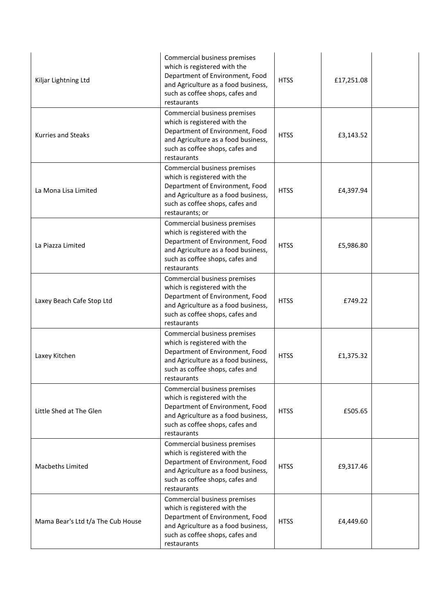| Kiljar Lightning Ltd              | Commercial business premises<br>which is registered with the<br>Department of Environment, Food<br>and Agriculture as a food business,<br>such as coffee shops, cafes and<br>restaurants     | <b>HTSS</b> | £17,251.08 |  |
|-----------------------------------|----------------------------------------------------------------------------------------------------------------------------------------------------------------------------------------------|-------------|------------|--|
| <b>Kurries and Steaks</b>         | Commercial business premises<br>which is registered with the<br>Department of Environment, Food<br>and Agriculture as a food business,<br>such as coffee shops, cafes and<br>restaurants     | <b>HTSS</b> | £3,143.52  |  |
| La Mona Lisa Limited              | Commercial business premises<br>which is registered with the<br>Department of Environment, Food<br>and Agriculture as a food business,<br>such as coffee shops, cafes and<br>restaurants; or | <b>HTSS</b> | £4,397.94  |  |
| La Piazza Limited                 | Commercial business premises<br>which is registered with the<br>Department of Environment, Food<br>and Agriculture as a food business,<br>such as coffee shops, cafes and<br>restaurants     | <b>HTSS</b> | £5,986.80  |  |
| Laxey Beach Cafe Stop Ltd         | Commercial business premises<br>which is registered with the<br>Department of Environment, Food<br>and Agriculture as a food business,<br>such as coffee shops, cafes and<br>restaurants     | <b>HTSS</b> | £749.22    |  |
| Laxey Kitchen                     | Commercial business premises<br>which is registered with the<br>Department of Environment, Food<br>and Agriculture as a food business,<br>such as coffee shops, cafes and<br>restaurants     | <b>HTSS</b> | £1,375.32  |  |
| Little Shed at The Glen           | Commercial business premises<br>which is registered with the<br>Department of Environment, Food<br>and Agriculture as a food business,<br>such as coffee shops, cafes and<br>restaurants     | <b>HTSS</b> | £505.65    |  |
| Macbeths Limited                  | Commercial business premises<br>which is registered with the<br>Department of Environment, Food<br>and Agriculture as a food business,<br>such as coffee shops, cafes and<br>restaurants     | <b>HTSS</b> | £9,317.46  |  |
| Mama Bear's Ltd t/a The Cub House | Commercial business premises<br>which is registered with the<br>Department of Environment, Food<br>and Agriculture as a food business,<br>such as coffee shops, cafes and<br>restaurants     | <b>HTSS</b> | £4,449.60  |  |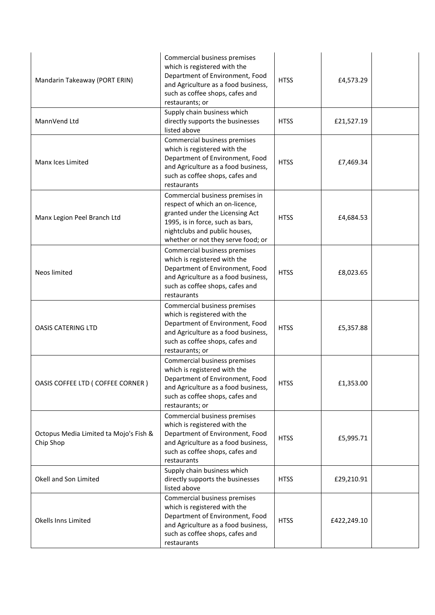| Mandarin Takeaway (PORT ERIN)                       | Commercial business premises<br>which is registered with the<br>Department of Environment, Food<br>and Agriculture as a food business,<br>such as coffee shops, cafes and<br>restaurants; or                     | <b>HTSS</b> | £4,573.29   |  |
|-----------------------------------------------------|------------------------------------------------------------------------------------------------------------------------------------------------------------------------------------------------------------------|-------------|-------------|--|
| MannVend Ltd                                        | Supply chain business which<br>directly supports the businesses<br>listed above                                                                                                                                  | <b>HTSS</b> | £21,527.19  |  |
| Manx Ices Limited                                   | Commercial business premises<br>which is registered with the<br>Department of Environment, Food<br>and Agriculture as a food business,<br>such as coffee shops, cafes and<br>restaurants                         | <b>HTSS</b> | £7,469.34   |  |
| Manx Legion Peel Branch Ltd                         | Commercial business premises in<br>respect of which an on-licence,<br>granted under the Licensing Act<br>1995, is in force, such as bars,<br>nightclubs and public houses,<br>whether or not they serve food; or | <b>HTSS</b> | £4,684.53   |  |
| Neos limited                                        | Commercial business premises<br>which is registered with the<br>Department of Environment, Food<br>and Agriculture as a food business,<br>such as coffee shops, cafes and<br>restaurants                         | <b>HTSS</b> | £8,023.65   |  |
| <b>OASIS CATERING LTD</b>                           | Commercial business premises<br>which is registered with the<br>Department of Environment, Food<br>and Agriculture as a food business,<br>such as coffee shops, cafes and<br>restaurants; or                     | <b>HTSS</b> | £5,357.88   |  |
| OASIS COFFEE LTD (COFFEE CORNER)                    | Commercial business premises<br>which is registered with the<br>Department of Environment, Food<br>and Agriculture as a food business,<br>such as coffee shops, cafes and<br>restaurants; or                     | <b>HTSS</b> | £1,353.00   |  |
| Octopus Media Limited ta Mojo's Fish &<br>Chip Shop | Commercial business premises<br>which is registered with the<br>Department of Environment, Food<br>and Agriculture as a food business,<br>such as coffee shops, cafes and<br>restaurants                         | <b>HTSS</b> | £5,995.71   |  |
| Okell and Son Limited                               | Supply chain business which<br>directly supports the businesses<br>listed above                                                                                                                                  | <b>HTSS</b> | £29,210.91  |  |
| Okells Inns Limited                                 | Commercial business premises<br>which is registered with the<br>Department of Environment, Food<br>and Agriculture as a food business,<br>such as coffee shops, cafes and<br>restaurants                         | <b>HTSS</b> | £422,249.10 |  |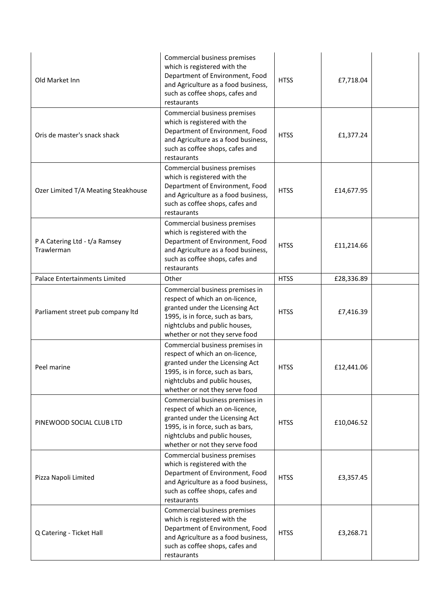| Old Market Inn                              | Commercial business premises<br>which is registered with the<br>Department of Environment, Food<br>and Agriculture as a food business,<br>such as coffee shops, cafes and<br>restaurants                     | <b>HTSS</b> | £7,718.04  |  |
|---------------------------------------------|--------------------------------------------------------------------------------------------------------------------------------------------------------------------------------------------------------------|-------------|------------|--|
| Oris de master's snack shack                | Commercial business premises<br>which is registered with the<br>Department of Environment, Food<br>and Agriculture as a food business,<br>such as coffee shops, cafes and<br>restaurants                     | <b>HTSS</b> | £1,377.24  |  |
| Ozer Limited T/A Meating Steakhouse         | Commercial business premises<br>which is registered with the<br>Department of Environment, Food<br>and Agriculture as a food business,<br>such as coffee shops, cafes and<br>restaurants                     | <b>HTSS</b> | £14,677.95 |  |
| P A Catering Ltd - t/a Ramsey<br>Trawlerman | Commercial business premises<br>which is registered with the<br>Department of Environment, Food<br>and Agriculture as a food business,<br>such as coffee shops, cafes and<br>restaurants                     | <b>HTSS</b> | £11,214.66 |  |
| Palace Entertainments Limited               | Other                                                                                                                                                                                                        | <b>HTSS</b> | £28,336.89 |  |
| Parliament street pub company Itd           | Commercial business premises in<br>respect of which an on-licence,<br>granted under the Licensing Act<br>1995, is in force, such as bars,<br>nightclubs and public houses,<br>whether or not they serve food | <b>HTSS</b> | £7,416.39  |  |
| Peel marine                                 | Commercial business premises in<br>respect of which an on-licence,<br>granted under the Licensing Act<br>1995, is in force, such as bars,<br>nightclubs and public houses,<br>whether or not they serve food | <b>HTSS</b> | £12,441.06 |  |
| PINEWOOD SOCIAL CLUB LTD                    | Commercial business premises in<br>respect of which an on-licence,<br>granted under the Licensing Act<br>1995, is in force, such as bars,<br>nightclubs and public houses,<br>whether or not they serve food | <b>HTSS</b> | £10,046.52 |  |
| Pizza Napoli Limited                        | Commercial business premises<br>which is registered with the<br>Department of Environment, Food<br>and Agriculture as a food business,<br>such as coffee shops, cafes and<br>restaurants                     | <b>HTSS</b> | £3,357.45  |  |
| Q Catering - Ticket Hall                    | Commercial business premises<br>which is registered with the<br>Department of Environment, Food<br>and Agriculture as a food business,<br>such as coffee shops, cafes and<br>restaurants                     | <b>HTSS</b> | £3,268.71  |  |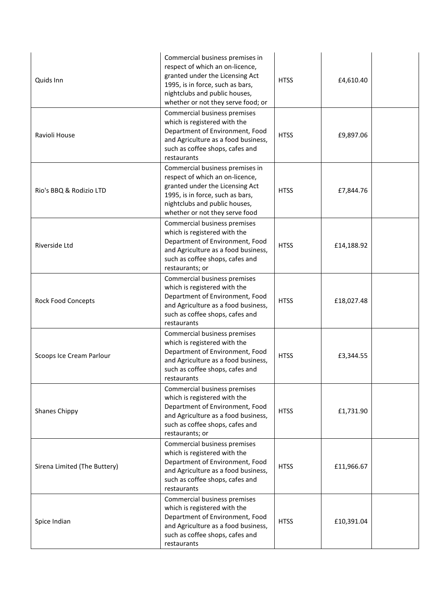| Quids Inn                    | Commercial business premises in<br>respect of which an on-licence,<br>granted under the Licensing Act<br>1995, is in force, such as bars,<br>nightclubs and public houses,<br>whether or not they serve food; or | <b>HTSS</b> | £4,610.40  |  |
|------------------------------|------------------------------------------------------------------------------------------------------------------------------------------------------------------------------------------------------------------|-------------|------------|--|
| Ravioli House                | Commercial business premises<br>which is registered with the<br>Department of Environment, Food<br>and Agriculture as a food business,<br>such as coffee shops, cafes and<br>restaurants                         | <b>HTSS</b> | £9,897.06  |  |
| Rio's BBQ & Rodizio LTD      | Commercial business premises in<br>respect of which an on-licence,<br>granted under the Licensing Act<br>1995, is in force, such as bars,<br>nightclubs and public houses,<br>whether or not they serve food     | <b>HTSS</b> | £7,844.76  |  |
| <b>Riverside Ltd</b>         | Commercial business premises<br>which is registered with the<br>Department of Environment, Food<br>and Agriculture as a food business,<br>such as coffee shops, cafes and<br>restaurants; or                     | <b>HTSS</b> | £14,188.92 |  |
| <b>Rock Food Concepts</b>    | Commercial business premises<br>which is registered with the<br>Department of Environment, Food<br>and Agriculture as a food business,<br>such as coffee shops, cafes and<br>restaurants                         | <b>HTSS</b> | £18,027.48 |  |
| Scoops Ice Cream Parlour     | Commercial business premises<br>which is registered with the<br>Department of Environment, Food<br>and Agriculture as a food business,<br>such as coffee shops, cafes and<br>restaurants                         | <b>HTSS</b> | £3,344.55  |  |
| <b>Shanes Chippy</b>         | Commercial business premises<br>which is registered with the<br>Department of Environment, Food<br>and Agriculture as a food business,<br>such as coffee shops, cafes and<br>restaurants; or                     | <b>HTSS</b> | £1,731.90  |  |
| Sirena Limited (The Buttery) | Commercial business premises<br>which is registered with the<br>Department of Environment, Food<br>and Agriculture as a food business,<br>such as coffee shops, cafes and<br>restaurants                         | <b>HTSS</b> | £11,966.67 |  |
| Spice Indian                 | Commercial business premises<br>which is registered with the<br>Department of Environment, Food<br>and Agriculture as a food business,<br>such as coffee shops, cafes and<br>restaurants                         | <b>HTSS</b> | £10,391.04 |  |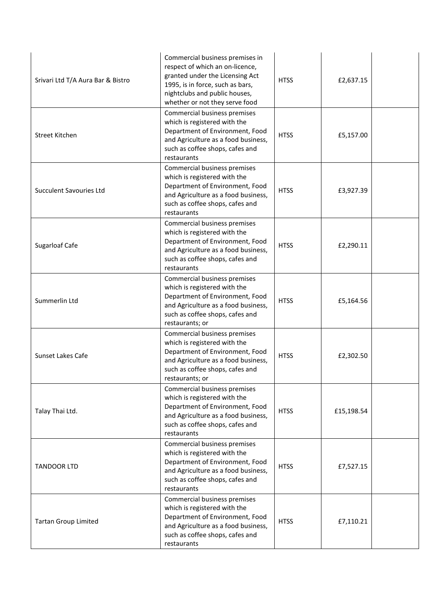| Srivari Ltd T/A Aura Bar & Bistro | Commercial business premises in<br>respect of which an on-licence,<br>granted under the Licensing Act<br>1995, is in force, such as bars,<br>nightclubs and public houses,<br>whether or not they serve food | <b>HTSS</b> | £2,637.15  |  |
|-----------------------------------|--------------------------------------------------------------------------------------------------------------------------------------------------------------------------------------------------------------|-------------|------------|--|
| Street Kitchen                    | Commercial business premises<br>which is registered with the<br>Department of Environment, Food<br>and Agriculture as a food business,<br>such as coffee shops, cafes and<br>restaurants                     | <b>HTSS</b> | £5,157.00  |  |
| <b>Succulent Savouries Ltd</b>    | Commercial business premises<br>which is registered with the<br>Department of Environment, Food<br>and Agriculture as a food business,<br>such as coffee shops, cafes and<br>restaurants                     | <b>HTSS</b> | £3,927.39  |  |
| Sugarloaf Cafe                    | Commercial business premises<br>which is registered with the<br>Department of Environment, Food<br>and Agriculture as a food business,<br>such as coffee shops, cafes and<br>restaurants                     | <b>HTSS</b> | £2,290.11  |  |
| Summerlin Ltd                     | Commercial business premises<br>which is registered with the<br>Department of Environment, Food<br>and Agriculture as a food business,<br>such as coffee shops, cafes and<br>restaurants; or                 | <b>HTSS</b> | £5,164.56  |  |
| Sunset Lakes Cafe                 | Commercial business premises<br>which is registered with the<br>Department of Environment, Food<br>and Agriculture as a food business,<br>such as coffee shops, cafes and<br>restaurants; or                 | <b>HTSS</b> | £2,302.50  |  |
| Talay Thai Ltd.                   | Commercial business premises<br>which is registered with the<br>Department of Environment, Food<br>and Agriculture as a food business,<br>such as coffee shops, cafes and<br>restaurants                     | <b>HTSS</b> | £15,198.54 |  |
| <b>TANDOOR LTD</b>                | Commercial business premises<br>which is registered with the<br>Department of Environment, Food<br>and Agriculture as a food business,<br>such as coffee shops, cafes and<br>restaurants                     | <b>HTSS</b> | £7,527.15  |  |
| <b>Tartan Group Limited</b>       | Commercial business premises<br>which is registered with the<br>Department of Environment, Food<br>and Agriculture as a food business,<br>such as coffee shops, cafes and<br>restaurants                     | <b>HTSS</b> | £7,110.21  |  |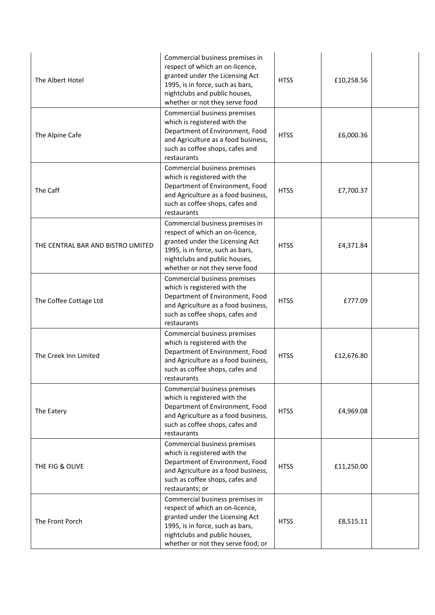| The Albert Hotel                   | Commercial business premises in<br>respect of which an on-licence,<br>granted under the Licensing Act<br>1995, is in force, such as bars,<br>nightclubs and public houses,<br>whether or not they serve food     | <b>HTSS</b> | £10,258.56 |  |
|------------------------------------|------------------------------------------------------------------------------------------------------------------------------------------------------------------------------------------------------------------|-------------|------------|--|
| The Alpine Cafe                    | Commercial business premises<br>which is registered with the<br>Department of Environment, Food<br>and Agriculture as a food business,<br>such as coffee shops, cafes and<br>restaurants                         | <b>HTSS</b> | £6,000.36  |  |
| The Caff                           | Commercial business premises<br>which is registered with the<br>Department of Environment, Food<br>and Agriculture as a food business,<br>such as coffee shops, cafes and<br>restaurants                         | <b>HTSS</b> | £7,700.37  |  |
| THE CENTRAL BAR AND BISTRO LIMITED | Commercial business premises in<br>respect of which an on-licence,<br>granted under the Licensing Act<br>1995, is in force, such as bars,<br>nightclubs and public houses,<br>whether or not they serve food     | <b>HTSS</b> | £4,371.84  |  |
| The Coffee Cottage Ltd             | Commercial business premises<br>which is registered with the<br>Department of Environment, Food<br>and Agriculture as a food business,<br>such as coffee shops, cafes and<br>restaurants                         | <b>HTSS</b> | £777.09    |  |
| The Creek Inn Limited              | Commercial business premises<br>which is registered with the<br>Department of Environment, Food<br>and Agriculture as a food business,<br>such as coffee shops, cafes and<br>restaurants                         | <b>HTSS</b> | £12,676.80 |  |
| The Eatery                         | Commercial business premises<br>which is registered with the<br>Department of Environment, Food<br>and Agriculture as a food business,<br>such as coffee shops, cafes and<br>restaurants                         | <b>HTSS</b> | £4,969.08  |  |
| THE FIG & OLIVE                    | Commercial business premises<br>which is registered with the<br>Department of Environment, Food<br>and Agriculture as a food business,<br>such as coffee shops, cafes and<br>restaurants; or                     | <b>HTSS</b> | £11,250.00 |  |
| The Front Porch                    | Commercial business premises in<br>respect of which an on-licence,<br>granted under the Licensing Act<br>1995, is in force, such as bars,<br>nightclubs and public houses,<br>whether or not they serve food; or | <b>HTSS</b> | £8,515.11  |  |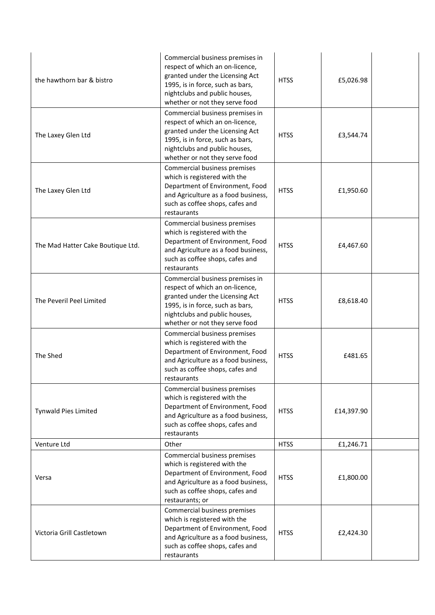| the hawthorn bar & bistro         | Commercial business premises in<br>respect of which an on-licence,<br>granted under the Licensing Act<br>1995, is in force, such as bars,<br>nightclubs and public houses,<br>whether or not they serve food | <b>HTSS</b> | £5,026.98  |  |
|-----------------------------------|--------------------------------------------------------------------------------------------------------------------------------------------------------------------------------------------------------------|-------------|------------|--|
| The Laxey Glen Ltd                | Commercial business premises in<br>respect of which an on-licence,<br>granted under the Licensing Act<br>1995, is in force, such as bars,<br>nightclubs and public houses,<br>whether or not they serve food | <b>HTSS</b> | £3,544.74  |  |
| The Laxey Glen Ltd                | Commercial business premises<br>which is registered with the<br>Department of Environment, Food<br>and Agriculture as a food business,<br>such as coffee shops, cafes and<br>restaurants                     | <b>HTSS</b> | £1,950.60  |  |
| The Mad Hatter Cake Boutique Ltd. | Commercial business premises<br>which is registered with the<br>Department of Environment, Food<br>and Agriculture as a food business,<br>such as coffee shops, cafes and<br>restaurants                     | <b>HTSS</b> | £4,467.60  |  |
| The Peveril Peel Limited          | Commercial business premises in<br>respect of which an on-licence,<br>granted under the Licensing Act<br>1995, is in force, such as bars,<br>nightclubs and public houses,<br>whether or not they serve food | <b>HTSS</b> | £8,618.40  |  |
| The Shed                          | Commercial business premises<br>which is registered with the<br>Department of Environment, Food<br>and Agriculture as a food business,<br>such as coffee shops, cafes and<br>restaurants                     | <b>HTSS</b> | £481.65    |  |
| Tynwald Pies Limited              | Commercial business premises<br>which is registered with the<br>Department of Environment, Food<br>and Agriculture as a food business,<br>such as coffee shops, cafes and<br>restaurants                     | <b>HTSS</b> | £14,397.90 |  |
| Venture Ltd                       | Other                                                                                                                                                                                                        | <b>HTSS</b> | £1,246.71  |  |
| Versa                             | Commercial business premises<br>which is registered with the<br>Department of Environment, Food<br>and Agriculture as a food business,<br>such as coffee shops, cafes and<br>restaurants; or                 | <b>HTSS</b> | £1,800.00  |  |
| Victoria Grill Castletown         | Commercial business premises<br>which is registered with the<br>Department of Environment, Food<br>and Agriculture as a food business,<br>such as coffee shops, cafes and<br>restaurants                     | <b>HTSS</b> | £2,424.30  |  |